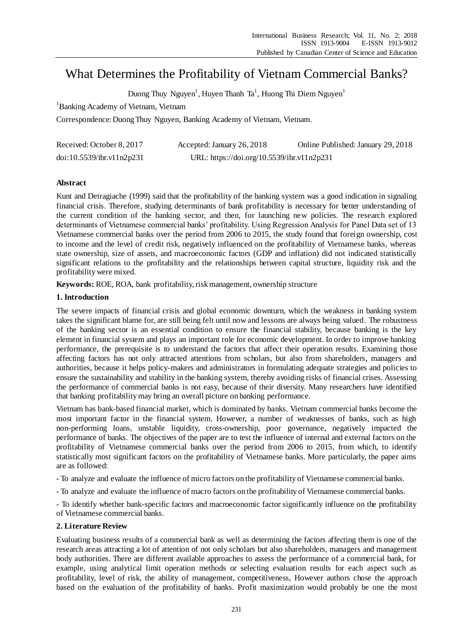# What Determines the Profitability of Vietnam Commercial Banks?

Duong Thuy Nguyen<sup>1</sup>, Huyen Thanh Ta<sup>1</sup>, Huong Thi Diem Nguyen<sup>1</sup>

<sup>1</sup>Banking Academy of Vietnam, Vietnam

Correspondence:Duong Thuy Nguyen, Banking Academy of Vietnam, Vietnam.

| Received: October 8, 2017 | Accepted: January 26, 2018                 | Online Published: January 29, 2018 |
|---------------------------|--------------------------------------------|------------------------------------|
| doi:10.5539/ibr.v11n2p231 | URL: https://doi.org/10.5539/ibr.v11n2p231 |                                    |

# **Abstract**

Kunt and Detragiache (1999) said that the profitability of the banking system was a good indication in signaling financial crisis. Therefore, studying determinants of bank profitability is necessary for better understanding of the current condition of the banking sector, and then, for launching new policies. The research explored determinants of Vietnamese commercial banks' profitability. Using Regression Analysis for Panel Data set of 13 Vietnamese commercial banks over the period from 2006 to 2015, the study found that foreign ownership, cost to income and the level of credit risk, negatively influenced on the profitability of Vietnamese banks, whereas state ownership, size of assets, and macroeconomic factors (GDP and inflation) did not indicated statistically significant relations to the profitability and the relationships between capital structure, liquidity risk and the profitability were mixed.

**Keywords:** ROE, ROA, bank profitability, risk management, ownership structure

## **1. Introduction**

The severe impacts of financial crisis and global economic downturn, which the weakness in banking system takes the significant blame for, are still being felt until now and lessons are always being valued. The robustness of the banking sector is an essential condition to ensure the financial stability, because banking is the key element in financial system and plays an important role for economic development. In order to improve banking performance, the prerequisite is to understand the factors that affect their operation results. Examining those affecting factors has not only attracted attentions from scholars, but also from shareholders, managers and authorities, because it helps policy-makers and administrators in formulating adequate strategies and policies to ensure the sustainability and stability in the banking system, thereby avoiding risks of financial crises. Assessing the performance of commercial banks is not easy, because of their diversity. Many researchers have identified that banking profitability may bring an overall picture on banking performance.

Vietnam has bank-based financial market, which is dominated by banks. Vietnam commercial banks become the most important factor in the financial system. However, a number of weaknesses of banks, such as high non-performing loans, unstable liquidity, cross-ownership, poor governance, negatively impacted the performance of banks. The objectives of the paper are to test the influence of internal and external factors on the profitability of Vietnamese commercial banks over the period from 2006 to 2015, from which, to identify statistically most significant factors on the profitability of Vietnamese banks. More particularly, the paper aims are as followed:

- To analyze and evaluate the influence of micro factors on the profitability of Vietnamese commercial banks.

- To analyze and evaluate the influence of macro factors on the profitability of Vietnamese commercial banks.

- To identify whether bank-specific factors and macroeconomic factor significantly influence on the profitability of Vietnamese commercial banks.

# **2. Literature Review**

Evaluating business results of a commercial bank as well as determining the factors affecting them is one of the research areas attracting a lot of attention of not only scholars but also shareholders, managers and management body authorities. There are different available approaches to assess the performance of a commercial bank, for example, using analytical limit operation methods or selecting evaluation results for each aspect such as profitability, level of risk, the ability of management, competitiveness, However authors chose the approach based on the evaluation of the profitability of banks. Profit maximization would probably be one the most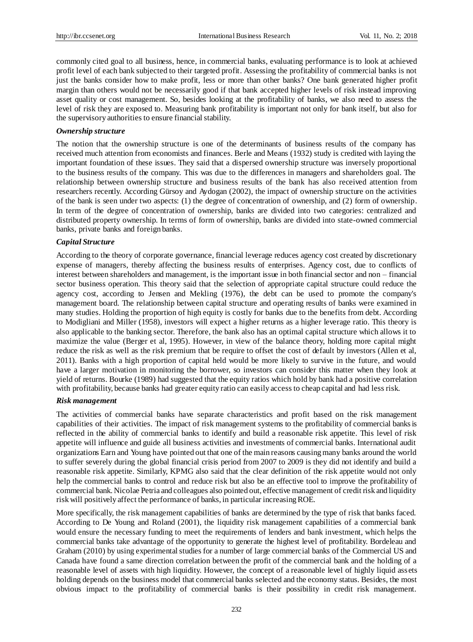commonly cited goal to all business, hence, in commercial banks, evaluating performance is to look at achieved profit level of each bank subjected to their targeted profit. Assessing the profitability of commercial banks is not just the banks consider how to make profit, less or more than other banks? One bank generated higher profit margin than others would not be necessarily good if that bank accepted higher levels of risk instead improving asset quality or cost management. So, besides looking at the profitability of banks, we also need to assess the level of risk they are exposed to. Measuring bank profitability is important not only for bank itself, but also for the supervisory authorities to ensure financial stability.

## *Ownership structure*

The notion that the ownership structure is one of the determinants of business results of the company has received much attention from economists and finances. Berle and Means (1932) study is credited with laying the important foundation of these issues. They said that a dispersed ownership structure was inversely proportional to the business results of the company. This was due to the differences in managers and shareholders goal. The relationship between ownership structure and business results of the bank has also received attention from researchers recently. According Gürsoy and Aydogan (2002), the impact of ownership structure on the activities of the bank is seen under two aspects: (1) the degree of concentration of ownership, and (2) form of ownership. In term of the degree of concentration of ownership, banks are divided into two categories: centralized and distributed property ownership. In terms of form of ownership, banks are divided into state-owned commercial banks, private banks and foreign banks.

## *Capital Structure*

According to the theory of corporate governance, financial leverage reduces agency cost created by discretionary expense of managers, thereby affecting the business results of enterprises. Agency cost, due to conflicts of interest between shareholders and management, is the important issue in both financial sector and non – financial sector business operation. This theory said that the selection of appropriate capital structure could reduce the agency cost, according to Jensen and Mekling (1976), the debt can be used to promote the company's management board. The relationship between capital structure and operating results of banks were examined in many studies. Holding the proportion of high equity is costly for banks due to the benefits from debt. According to Modigliani and Miller (1958), investors will expect a higher returns as a higher leverage ratio. This theory is also applicable to the banking sector. Therefore, the bank also has an optimal capital structure which allows it to maximize the value (Berger et al, 1995). However, in view of the balance theory, holding more capital might reduce the risk as well as the risk premium that be require to offset the cost of default by investors (Allen et al, 2011). Banks with a high proportion of capital held would be more likely to survive in the future, and would have a larger motivation in monitoring the borrower, so investors can consider this matter when they look at yield of returns. Bourke (1989) had suggested that the equity ratios which hold by bank had a positive correlation with profitability, because banks had greater equity ratio can easily access to cheap capital and had less risk.

### *Risk management*

The activities of commercial banks have separate characteristics and profit based on the risk management capabilities of their activities. The impact of risk management systems to the profitability of commercial banks is reflected in the ability of commercial banks to identify and build a reasonable risk appetite. This level of risk appetite will influence and guide all business activities and investments of commercial banks. International audit organizations Earn and Young have pointed out that one of the main reasons causing many banks around the world to suffer severely during the global financial crisis period from 2007 to 2009 is they did not identify and build a reasonable risk appetite. Similarly, KPMG also said that the clear definition of the risk appetite would not only help the commercial banks to control and reduce risk but also be an effective tool to improve the profitability of commercial bank. Nicolae Petria and colleagues also pointed out, effective management of credit risk and liquidity risk will positively affect the performance of banks, in particular increasing ROE.

More specifically, the risk management capabilities of banks are determined by the type of risk that banks faced. According to De Young and Roland (2001), the liquidity risk management capabilities of a commercial bank would ensure the necessary funding to meet the requirements of lenders and bank investment, which helps the commercial banks take advantage of the opportunity to generate the highest level of profitability. Bordeleau and Graham (2010) by using experimental studies for a number of large commercial banks of the Commercial US and Canada have found a same direction correlation between the profit of the commercial bank and the holding of a reasonable level of assets with high liquidity. However, the concept of a reasonable level of highly liquid ass ets holding depends on the business model that commercial banks selected and the economy status. Besides, the most obvious impact to the profitability of commercial banks is their possibility in credit risk management.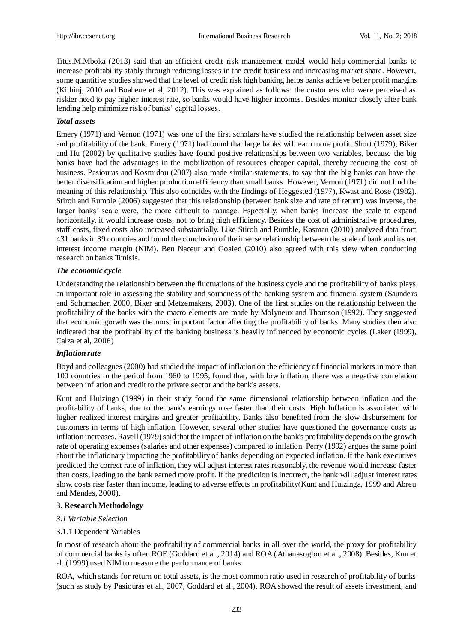Titus.M.Mboka (2013) said that an efficient credit risk management model would help commercial banks to increase profitability stably through reducing losses in the credit business and increasing market share. However, some quantitive studies showed that the level of credit risk high banking helps banks achieve better profit margins (Kithinj, 2010 and Boahene et al, 2012). This was explained as follows: the customers who were perceived as riskier need to pay higher interest rate, so banks would have higher incomes. Besides monitor closely after bank lending help minimize risk of banks' capital losses.

## *Total assets*

Emery (1971) and Vernon (1971) was one of the first scholars have studied the relationship between asset size and profitability of the bank. Emery (1971) had found that large banks will earn more profit. Short (1979), Biker and Hu (2002) by qualitative studies have found positive relationships between two variables, because the big banks have had the advantages in the mobilization of resources cheaper capital, thereby reducing the cost of business. Pasiouras and Kosmidou (2007) also made similar statements, to say that the big banks can have the better diversification and higher production efficiency than small banks. However, Vernon (1971) did not find the meaning of this relationship. This also coincides with the findings of Heggested (1977), Kwast and Rose (1982). Stiroh and Rumble (2006) suggested that this relationship (between bank size and rate of return) was inverse, the larger banks' scale were, the more difficult to manage. Especially, when banks increase the scale to expand horizontally, it would increase costs, not to bring high efficiency. Besides the cost of administrative procedures, staff costs, fixed costs also increased substantially. Like Stiroh and Rumble, Kasman (2010) analyzed data from 431 banks in 39 countries and found the conclusion of the inverse relationship between the scale of bank and its net interest income margin (NIM). Ben Naceur and Goaied (2010) also agreed with this view when conducting research on banks Tunisis.

## *The economic cycle*

Understanding the relationship between the fluctuations of the business cycle and the profitability of banks plays an important role in assessing the stability and soundness of the banking system and financial system (Saunders and Schumacher, 2000, Biker and Metzemakers, 2003). One of the first studies on the relationship between the profitability of the banks with the macro elements are made by Molyneux and Thomson (1992). They suggested that economic growth was the most important factor affecting the profitability of banks. Many studies then also indicated that the profitability of the banking business is heavily influenced by economic cycles (Laker (1999), Calza et al, 2006)

## *Inflation rate*

Boyd and colleagues (2000) had studied the impact of inflation on the efficiency of financial markets in more than 100 countries in the period from 1960 to 1995, found that, with low inflation, there was a negative correlation between inflation and credit to the private sector and the bank's assets.

Kunt and Huizinga (1999) in their study found the same dimensional relationship between inflation and the profitability of banks, due to the bank's earnings rose faster than their costs. High Inflation is associated with higher realized interest margins and greater profitability. Banks also benefited from the slow disbursement for customers in terms of high inflation. However, several other studies have questioned the governance costs as inflation increases. Ravell (1979) said that the impact of inflation on the bank's profitability depends on the growth rate of operating expenses (salaries and other expenses) compared to inflation. Perry (1992) argues the same point about the inflationary impacting the profitability of banks depending on expected inflation. If the bank executives predicted the correct rate of inflation, they will adjust interest rates reasonably, the revenue would increase faster than costs, leading to the bank earned more profit. If the prediction is incorrect, the bank will adjust interest rates slow, costs rise faster than income, leading to adverse effects in profitability(Kunt and Huizinga, 1999 and Abreu and Mendes, 2000).

## **3. Research Methodology**

### *3.1 Variable Selection*

## 3.1.1 Dependent Variables

In most of research about the profitability of commercial banks in all over the world, the proxy for profitability of commercial banks is often ROE (Goddard et al., 2014) and ROA (Athanasoglou et al., 2008). Besides, Kun et al. (1999) used NIM to measure the performance of banks.

ROA, which stands for return on total assets, is the most common ratio used in research of profitability of banks (such as study by Pasiouras et al., 2007, Goddard et al., 2004). ROA showed the result of assets investment, and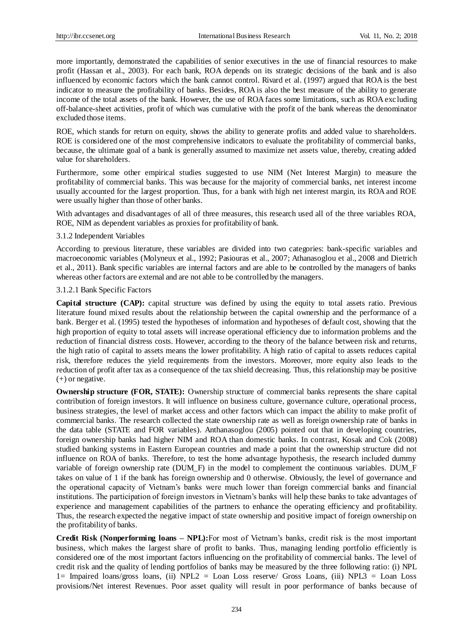more importantly, demonstrated the capabilities of senior executives in the use of financial resources to make profit (Hassan et al., 2003). For each bank, ROA depends on its strategic decisions of the bank and is also influenced by economic factors which the bank cannot control. Rivard et al. (1997) argued that ROA is the best indicator to measure the profitability of banks. Besides, ROA is also the best measure of the ability to generate income of the total assets of the bank. However, the use of ROA faces some limitations, such as ROA exc luding off-balance-sheet activities, profit of which was cumulative with the profit of the bank whereas the denominator excluded those items.

ROE, which stands for return on equity, shows the ability to generate profits and added value to shareholders. ROE is considered one of the most comprehensive indicators to evaluate the profitability of commercial banks, because, the ultimate goal of a bank is generally assumed to maximize net assets value, thereby, creating added value for shareholders.

Furthermore, some other empirical studies suggested to use NIM (Net Interest Margin) to measure the profitability of commercial banks. This was because for the majority of commercial banks, net interest income usually accounted for the largest proportion. Thus, for a bank with high net interest margin, its ROA and ROE were usually higher than those of other banks.

With advantages and disadvantages of all of three measures, this research used all of the three variables ROA, ROE, NIM as dependent variables as proxies for profitability of bank.

### 3.1.2 Independent Variables

According to previous literature, these variables are divided into two categories: bank-specific variables and macroeconomic variables (Molyneux et al., 1992; Pasiouras et al., 2007; Athanasoglou et al., 2008 and Dietrich et al., 2011). Bank specific variables are internal factors and are able to be controlled by the managers of banks whereas other factors are external and are not able to be controlled by the managers.

## 3.1.2.1 Bank Specific Factors

**Capital structure (CAP):** capital structure was defined by using the equity to total assets ratio. Previous literature found mixed results about the relationship between the capital ownership and the performance of a bank. Berger et al. (1995) tested the hypotheses of information and hypotheses of default cost, showing that the high proportion of equity to total assets will increase operational efficiency due to information problems and the reduction of financial distress costs. However, according to the theory of the balance between risk and returns, the high ratio of capital to assets means the lower profitability. A high ratio of capital to assets reduces capital risk, therefore reduces the yield requirements from the investors. Moreover, more equity also leads to the reduction of profit after tax as a consequence of the tax shield decreasing. Thus, this relationship may be positive (+) or negative.

**Ownership structure (FOR, STATE):** Ownership structure of commercial banks represents the share capital contribution of foreign investors. It will influence on business culture, governance culture, operational process, business strategies, the level of market access and other factors which can impact the ability to make profit of commercial banks. The research collected the state ownership rate as well as foreign ownership rate of banks in the data table (STATE and FOR variables). Anthanasoglou (2005) pointed out that in developing countries, foreign ownership banks had higher NIM and ROA than domestic banks. In contrast, Kosak and Cok (2008) studied banking systems in Eastern European countries and made a point that the ownership structure did not influence on ROA of banks. Therefore, to test the home advantage hypothesis, the research included dummy variable of foreign ownership rate (DUM\_F) in the model to complement the continuous variables. DUM\_F takes on value of 1 if the bank has foreign ownership and 0 otherwise. Obviously, the level of governance and the operational capacity of Vietnam's banks were much lower than foreign commercial banks and financial institutions. The participation of foreign investors in Vietnam's banks will help these banks to take advantages of experience and management capabilities of the partners to enhance the operating efficiency and profitability. Thus, the research expected the negative impact of state ownership and positive impact of foreign ownership on the profitability of banks.

**Credit Risk (Nonperforming loans – NPL):**For most of Vietnam's banks, credit risk is the most important business, which makes the largest share of profit to banks. Thus, managing lending portfolio efficiently is considered one of the most important factors influencing on the profitability of commercial banks. The level of credit risk and the quality of lending portfolios of banks may be measured by the three following ratio: (i) NPL 1= Impaired loans/gross loans, (ii) NPL2 = Loan Loss reserve/ Gross Loans, (iii) NPL3 = Loan Loss provisions/Net interest Revenues. Poor asset quality will result in poor performance of banks because of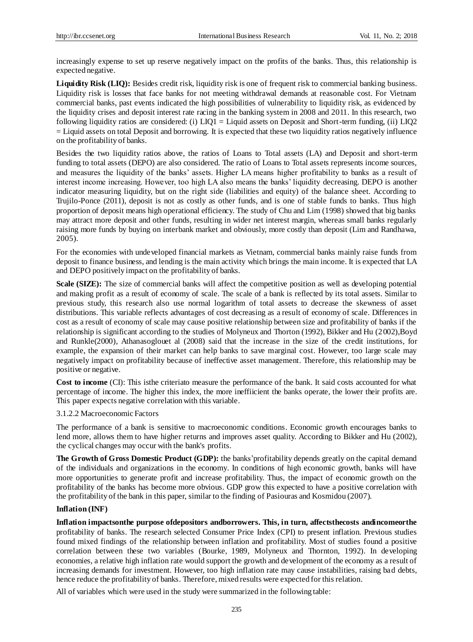increasingly expense to set up reserve negatively impact on the profits of the banks. Thus, this relationship is expected negative.

**Liquidity Risk (LIQ):** Besides credit risk, liquidity risk is one of frequent risk to commercial banking business. Liquidity risk is losses that face banks for not meeting withdrawal demands at reasonable cost. For Vietnam commercial banks, past events indicated the high possibilities of vulnerability to liquidity risk, as evidenced by the liquidity crises and deposit interest rate racing in the banking system in 2008 and 2011. In this research, two following liquidity ratios are considered: (i)  $LIQ1 = Liquid$  assets on Deposit and Short-term funding, (ii)  $LIQ2$ = Liquid assets on total Deposit and borrowing. It is expected that these two liquidity ratios negatively influence on the profitability of banks.

Besides the two liquidity ratios above, the ratios of Loans to Total assets (LA) and Deposit and short-term funding to total assets (DEPO) are also considered. The ratio of Loans to Total assets represents income sources, and measures the liquidity of the banks' assets. Higher LA means higher profitability to banks as a result of interest income increasing. However, too high LA also means the banks' liquidity decreasing. DEPO is another indicator measuring liquidity, but on the right side (liabilities and equity) of the balance sheet. According to Trujilo-Ponce (2011), deposit is not as costly as other funds, and is one of stable funds to banks. Thus high proportion of deposit means high operational efficiency. The study of Chu and Lim (1998) showed that big banks may attract more deposit and other funds, resulting in wider net interest margin, whereas small banks regularly raising more funds by buying on interbank market and obviously, more costly than deposit (Lim and Randhawa, 2005).

For the economies with undeveloped financial markets as Vietnam, commercial banks mainly raise funds from deposit to finance business, and lending is the main activity which brings the main income. It is expected that LA and DEPO positively impact on the profitability of banks.

**Scale (SIZE):** The size of commercial banks will affect the competitive position as well as developing potential and making profit as a result of economy of scale. The scale of a bank is reflected by its total assets. Similar to previous study, this research also use normal logarithm of total assets to decrease the skewness of asset distributions. This variable reflects advantages of cost decreasing as a result of economy of scale. Differences in cost as a result of economy of scale may cause positive relationship between size and profitability of banks if the relationship is significant according to the studies of Molyneux and Thorton (1992), Bikker and Hu (2002),Boyd and Runkle(2000), Athanasoglouet al (2008) said that the increase in the size of the credit institutions, for example, the expansion of their market can help banks to save marginal cost. However, too large scale may negatively impact on profitability because of ineffective asset management. Therefore, this relationship may be positive or negative.

**Cost to income** (CI): This isthe criteriato measure the performance of the bank. It said costs accounted for what percentage of income. The higher this index, the more ineffiicient the banks operate, the lower their profits are. This paper expects negative correlation with this variable.

3.1.2.2 Macroeconomic Factors

The performance of a bank is sensitive to macroeconomic conditions. Economic growth encourages banks to lend more, allows them to have higher returns and improves asset quality. According to Bikker and Hu (2002), the cyclical changes may occur with the bank's profits.

**The Growth of Gross Domestic Product (GDP):** the banks'profitability depends greatly on the capital demand of the individuals and organizations in the economy. In conditions of high economic growth, banks will have more opportunities to generate profit and increase profitability. Thus, the impact of economic growth on the profitability of the banks has become more obvious. GDP grow this expected to have a positive correlation with the profitability of the bank in this paper, similar to the finding of Pasiouras and Kosmidou (2007).

## **Inflation (INF)**

**Inflation impactsonthe purpose ofdepositors andborrowers. This, in turn, affectsthecosts andincomeorthe** profitability of banks. The research selected Consumer Price Index (CPI) to present inflation. Previous studies found mixed findings of the relationship between inflation and profitability. Most of studies found a positive correlation between these two variables (Bourke, 1989, Molyneux and Thornton, 1992). In developing economies, a relative high inflation rate would support the growth and development of the economy as a result of increasing demands for investment. However, too high inflation rate may cause instabilities, raising bad debts, hence reduce the profitability of banks. Therefore, mixed results were expected for this relation.

All of variables which were used in the study were summarized in the following table: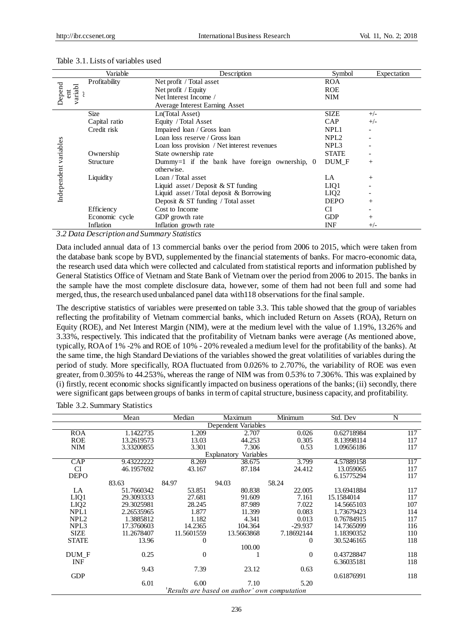|                                   | Variable       | Description                                     | Symbol           | Expectation |  |  |  |  |
|-----------------------------------|----------------|-------------------------------------------------|------------------|-------------|--|--|--|--|
|                                   | Profitability  | Net profit / Total asset                        | <b>ROA</b>       |             |  |  |  |  |
| Depend<br>variabl<br>$_{\rm ent}$ |                | Net profit / Equity                             | <b>ROE</b>       |             |  |  |  |  |
|                                   |                | Net Interest Income /                           | <b>NIM</b>       |             |  |  |  |  |
|                                   |                | <b>Average Interest Earning Asset</b>           |                  |             |  |  |  |  |
|                                   | <b>Size</b>    | Ln(Total Asset)                                 | <b>SIZE</b>      | $+/-$       |  |  |  |  |
|                                   | Capital ratio  | Equity / Total Asset                            | <b>CAP</b>       | $+/-$       |  |  |  |  |
|                                   | Credit risk    | Impaired loan / Gross loan                      | NPL <sub>1</sub> |             |  |  |  |  |
| Independent variables             |                | Loan loss reserve / Gross loan                  | NPL2             |             |  |  |  |  |
|                                   |                | Loan loss provision / Net interest revenues     | NPL <sub>3</sub> |             |  |  |  |  |
|                                   | Ownership      | <b>STATE</b>                                    |                  |             |  |  |  |  |
|                                   | Structure      | Dummy=1 if the bank have foreign ownership, $0$ | DUM F            | $^{+}$      |  |  |  |  |
|                                   |                | otherwise.                                      |                  |             |  |  |  |  |
|                                   | Liquidity      | Loan / Total asset                              | LA               | $^{+}$      |  |  |  |  |
|                                   |                | Liquid asset / Deposit & ST funding             | LIO1             |             |  |  |  |  |
|                                   |                | Liquid asset/Total deposit & Borrowing          | LIQ <sub>2</sub> |             |  |  |  |  |
|                                   |                | Deposit & ST funding / Total asset              | <b>DEPO</b>      | $^{+}$      |  |  |  |  |
|                                   | Efficiency     | Cost to Income                                  | CI               |             |  |  |  |  |
|                                   | Economic cycle | GDP growth rate                                 | <b>GDP</b>       | $^{+}$      |  |  |  |  |
|                                   | Inflation      | Inflation growth rate                           | <b>INF</b>       | $+/-$       |  |  |  |  |

#### Table 3.1. Lists of variables used

*3.2 Data Description and Summary Statistics*

Data included annual data of 13 commercial banks over the period from 2006 to 2015, which were taken from the database bank scope by BVD, supplemented by the financial statements of banks. For macro-economic data, the research used data which were collected and calculated from statistical reports and information published by General Statistics Office of Vietnam and State Bank of Vietnam over the period from 2006 to 2015. The banks in the sample have the most complete disclosure data, however, some of them had not been full and some had merged, thus, the research used unbalanced panel data with118 observations for the final sample.

The descriptive statistics of variables were presented on table 3.3. This table showed that the group of variables reflecting the profitability of Vietnam commercial banks, which included Return on Assets (ROA), Return on Equity (ROE), and Net Interest Margin (NIM), were at the medium level with the value of 1.19%, 13.26% and 3.33%, respectively. This indicated that the profitability of Vietnam banks were average (As mentioned above, typically, ROA of 1% -2% and ROE of 10% - 20% revealed a medium level for the profitability of the banks). At the same time, the high Standard Deviations of the variables showed the great volatilities of variables during the period of study. More specifically, ROA fluctuated from 0.026% to 2.707%, the variability of ROE was even greater, from 0.305% to 44.253%, whereas the range of NIM was from 0.53% to 7.306%. This was explained by (i) firstly, recent economic shocks significantly impacted on business operations of the banks; (ii) secondly, there were significant gaps between groups of banks in term of capital structure, business capacity, and profitability.

|                  | Mean                | Median     | Maximum                                                   | Minimum        | Std. Dev   | N   |  |  |  |  |  |
|------------------|---------------------|------------|-----------------------------------------------------------|----------------|------------|-----|--|--|--|--|--|
|                  | Dependent Variables |            |                                                           |                |            |     |  |  |  |  |  |
| <b>ROA</b>       | 1.1422735           | 1.209      | 2.707                                                     | 0.026          | 0.62718984 | 117 |  |  |  |  |  |
| <b>ROE</b>       | 13.2619573          | 13.03      | 44.253                                                    | 0.305          | 8.13998114 | 117 |  |  |  |  |  |
| <b>NIM</b>       | 3.33200855          | 3.301      | 7.306                                                     | 0.53           | 1.09656186 | 117 |  |  |  |  |  |
|                  |                     |            | Explanatory<br>Variables                                  |                |            |     |  |  |  |  |  |
| CAP              | 9.432222222         | 8.269      | 38.675                                                    | 3.799          | 4.57889158 | 117 |  |  |  |  |  |
| <b>CI</b>        | 46.1957692          | 43.167     | 87.184                                                    | 24.412         | 13.059065  | 117 |  |  |  |  |  |
| <b>DEPO</b>      |                     |            |                                                           |                | 6.15775294 | 117 |  |  |  |  |  |
|                  | 83.63               | 84.97      | 94.03                                                     | 58.24          |            |     |  |  |  |  |  |
| LA               | 51.7660342          | 53.851     | 80.838                                                    | 22.005         | 13.6941884 | 117 |  |  |  |  |  |
| LIQ1             | 29.3093333          | 27.681     | 91.609                                                    | 7.161          | 15.1584014 | 117 |  |  |  |  |  |
| LIQ <sub>2</sub> | 29.3025981          | 28.245     | 87.989                                                    | 7.022          | 14.5665103 | 107 |  |  |  |  |  |
| NPL1             | 2.26535965          | 1.877      | 11.399                                                    | 0.083          | 1.73679423 | 114 |  |  |  |  |  |
| NPL <sub>2</sub> | 1.3885812           | 1.182      | 4.341                                                     | 0.013          | 0.76784915 | 117 |  |  |  |  |  |
| NPL3             | 17.3760603          | 14.2365    | 104.364                                                   | $-29.937$      | 14.7365099 | 116 |  |  |  |  |  |
| <b>SIZE</b>      | 11.2678407          | 11.5601559 | 13.5663868                                                | 7.18692144     | 1.18390352 | 110 |  |  |  |  |  |
| <b>STATE</b>     | 13.96               | 0          |                                                           | $\overline{0}$ | 30.5246165 | 118 |  |  |  |  |  |
|                  |                     |            | 100.00                                                    |                |            |     |  |  |  |  |  |
| DUM F            | 0.25                | $\Omega$   |                                                           | $\theta$       | 0.43728847 | 118 |  |  |  |  |  |
| <b>INF</b>       |                     |            |                                                           |                | 6.36035181 | 118 |  |  |  |  |  |
|                  | 9.43                | 7.39       | 23.12                                                     | 0.63           |            |     |  |  |  |  |  |
| <b>GDP</b>       |                     |            |                                                           |                | 0.61876991 | 118 |  |  |  |  |  |
|                  | 6.01                | 6.00       | 7.10                                                      | 5.20           |            |     |  |  |  |  |  |
|                  |                     |            | <sup>1</sup> Results are based on author' own computation |                |            |     |  |  |  |  |  |

Table 3.2. Summary Statistics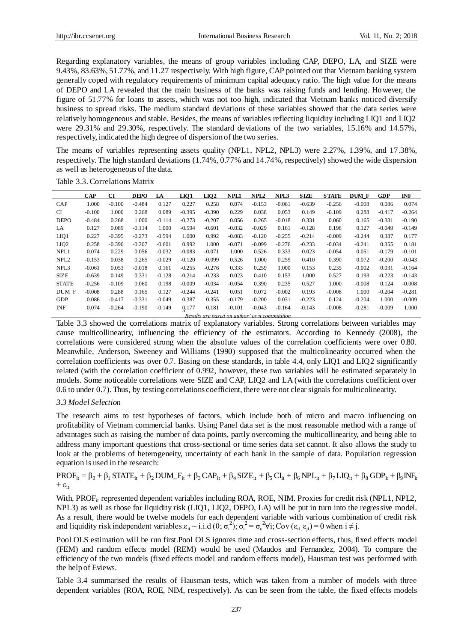Regarding explanatory variables, the means of group variables including CAP, DEPO, LA, and SIZE were 9.43%, 83.63%, 51.77%, and 11.27 respectively. With high figure, CAP pointed out that Vietnam banking system generally coped with regulatory requirements of minimum capital adequacy ratio. The high value for the means of DEPO and LA revealed that the main business of the banks was raising funds and lending. However, the figure of 51.77% for loans to assets, which was not too high, indicated that Vietnam banks noticed diversify business to spread risks. The medium standard deviations of these variables showed that the data series were relatively homogeneous and stable. Besides, the means of variables reflecting liquidity including LIQ1 and LIQ2 were 29.31% and 29.30%, respectively. The standard deviations of the two variables, 15.16% and 14.57%, respectively, indicated the high degree of dispersion of the two series.

The means of variables representing assets quality (NPL1, NPL2, NPL3) were 2.27%, 1.39%, and 17.38%, respectively. The high standard deviations (1.74%, 0.77% and 14.74%, respectively) showed the wide dispersion as well as heterogeneous of the data.

|                  | <b>CAP</b> | CI       | <b>DEPO</b> | LA       | LI <sub>O1</sub> | LIO2     | NPL1                                         | NPL <sub>2</sub> | NPL3     | <b>SIZE</b> | <b>STATE</b> | DUM F    | <b>GDP</b> | <b>INF</b> |
|------------------|------------|----------|-------------|----------|------------------|----------|----------------------------------------------|------------------|----------|-------------|--------------|----------|------------|------------|
| CAP              | 1.000      | $-0.100$ | $-0.484$    | 0.127    | 0.227            | 0.258    | 0.074                                        | $-0.153$         | $-0.061$ | $-0.639$    | $-0.256$     | $-0.008$ | 0.086      | 0.074      |
| CI               | $-0.100$   | 1.000    | 0.268       | 0.089    | $-0.395$         | $-0.390$ | 0.229                                        | 0.038            | 0.053    | 0.149       | $-0.109$     | 0.288    | $-0.417$   | $-0.264$   |
| <b>DEPO</b>      | $-0.484$   | 0.268    | 1.000       | $-0.114$ | $-0.273$         | $-0.207$ | 0.056                                        | 0.265            | $-0.018$ | 0.331       | 0.060        | 0.165    | $-0.331$   | $-0.190$   |
| LA               | 0.127      | 0.089    | $-0.114$    | 1.000    | $-0.594$         | $-0.601$ | $-0.032$                                     | $-0.029$         | 0.161    | $-0.128$    | 0.198        | 0.127    | $-0.049$   | $-0.149$   |
| LIO1             | 0.227      | $-0.395$ | $-0.273$    | $-0.594$ | 1.000            | 0.992    | $-0.083$                                     | $-0.120$         | $-0.255$ | $-0.214$    | $-0.009$     | $-0.244$ | 0.387      | 0.177      |
| LI <sub>02</sub> | 0.258      | $-0.390$ | $-0.207$    | $-0.601$ | 0.992            | 1.000    | $-0.071$                                     | $-0.099$         | $-0.276$ | $-0.233$    | $-0.034$     | $-0.241$ | 0.355      | 0.181      |
| NPL1             | 0.074      | 0.229    | 0.056       | $-0.032$ | $-0.083$         | $-0.071$ | 1.000                                        | 0.526            | 0.333    | 0.023       | $-0.054$     | 0.051    | $-0.179$   | $-0.101$   |
| NPL <sub>2</sub> | $-0.153$   | 0.038    | 0.265       | $-0.029$ | $-0.120$         | $-0.099$ | 0.526                                        | 1.000            | 0.259    | 0.410       | 0.390        | 0.072    | $-0.200$   | $-0.043$   |
| NPL3             | $-0.061$   | 0.053    | $-0.018$    | 0.161    | $-0.255$         | $-0.276$ | 0.333                                        | 0.259            | 1.000    | 0.153       | 0.235        | $-0.002$ | 0.031      | $-0.164$   |
| <b>SIZE</b>      | $-0.639$   | 0.149    | 0.331       | $-0.128$ | $-0.214$         | $-0.233$ | 0.023                                        | 0.410            | 0.153    | 1.000       | 0.527        | 0.193    | $-0.223$   | $-0.143$   |
| <b>STATE</b>     | $-0.256$   | $-0.109$ | 0.060       | 0.198    | $-0.009$         | $-0.034$ | $-0.054$                                     | 0.390            | 0.235    | 0.527       | 1.000        | $-0.008$ | 0.124      | $-0.008$   |
| DUM F            | $-0.008$   | 0.288    | 0.165       | 0.127    | $-0.244$         | $-0.241$ | 0.051                                        | 0.072            | $-0.002$ | 0.193       | $-0.008$     | 1.000    | $-0.204$   | $-0.281$   |
| GDP              | 0.086      | $-0.417$ | $-0.331$    | $-0.049$ | 0.387            | 0.355    | $-0.179$                                     | $-0.200$         | 0.031    | $-0.223$    | 0.124        | $-0.204$ | 1.000      | $-0.009$   |
| <b>INF</b>       | 0.074      | $-0.264$ | $-0.190$    | $-0.149$ | 0.177            | 0.181    | $-0.101$                                     | $-0.043$         | $-0.164$ | $-0.143$    | $-0.008$     | $-0.281$ | $-0.009$   | 1.000      |
|                  |            |          |             |          |                  |          | Results are based on author' own computation |                  |          |             |              |          |            |            |

Table 3.3 showed the correlations matrix of explanatory variables. Strong correlations between variables may cause multicollinearity, influencing the efficiency of the estimators. According to Kennedy (2008), the correlations were considered strong when the absolute values of the correlation coefficients were over 0.80. Meanwhile, Anderson, Sweeney and Williams (1990) supposed that the multicolinearity occurred when the correlation coefficients was over 0.7. Basing on these standards, in table 4.4, only LIQ1 and LIQ2 significantly related (with the correlation coefficient of 0.992, however, these two variables will be estimated separately in models. Some noticeable correlations were SIZE and CAP, LIQ2 and LA (with the correlations coefficient over 0.6 to under 0.7). Thus, by testing correlations coefficient, there were not clear signals for multicolinearity.

### *3.3 Model Selection*

The research aims to test hypotheses of factors, which include both of micro and macro influencing on profitability of Vietnam commercial banks. Using Panel data set is the most reasonable method with a range of advantages such as raising the number of data points, partly overcoming the multicollinearity, and being able to address many important questions that cross-sectional or time series data set cannot. It also allows the study to look at the problems of heterogeneity, uncertainty of each bank in the sample of data. Population regression equation is used in the research:

 $PROF_{it} = \beta_0 + \beta_1 STATE_{it} + \beta_2 DUM\_F_{it} + \beta_3 CAP_{it} + \beta_4 SIZE_{it} + \beta_5 CI_{it} + \beta_6 NPL_{it} + \beta_7 LIQ_{it} + \beta_8 GDP_{it} + \beta_9 INF_{it}$  $+ \varepsilon_{it}$ 

With, PROF<sub>it</sub> represented dependent variables including ROA, ROE, NIM. Proxies for credit risk (NPL1, NPL2, NPL3) as well as those for liquidity risk (LIQ1, LIQ2, DEPO, LA) will be put in turn into the regressive model. As a result, there would be twelve models for each dependent variable with various combination of credit risk and liquidity risk independent variables. $\varepsilon_{it} \sim i.i.d$  (0;  $\sigma_i^2$ );  $\sigma_i^2 = \sigma_e^2 \forall i$ ; Cov  $(\varepsilon_{it}, \varepsilon_{jt}) = 0$  when  $i \neq j$ .

Pool OLS estimation will be run first.Pool OLS ignores time and cross-section effects, thus, fixed effects model (FEM) and random effects model (REM) would be used (Maudos and Fernandez, 2004). To compare the efficiency of the two models (fixed effects model and random effects model), Hausman test was performed with the help of Eviews.

Table 3.4 summarised the results of Hausman tests, which was taken from a number of models with three dependent variables (ROA, ROE, NIM, respectively). As can be seen from the table, the fixed effects models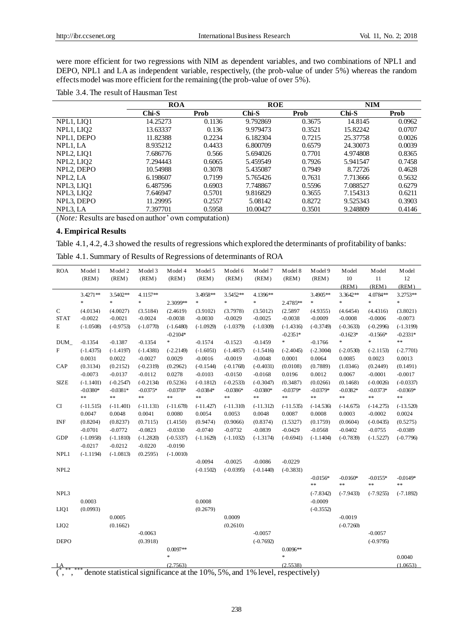were more efficient for two regressions with NIM as dependent variables, and two combinations of NPL1 and DEPO, NPL1 and LA as independent variable, respectively, (the prob-value of under 5%) whereas the random effects model was more efficient for the remaining (the prob-value of over 5%).

Table 3.4. The result of Hausman Test

|                        | <b>ROA</b> |        | <b>ROE</b> |        | <b>NIM</b> |        |
|------------------------|------------|--------|------------|--------|------------|--------|
|                        | $Chi-S$    | Prob   | $Chi-S$    | Prob   | $Chi-S$    | Prob   |
| NPL1, LIQ1             | 14.25273   | 0.1136 | 9.792869   | 0.3675 | 14.8145    | 0.0962 |
| NPL1, LIO <sub>2</sub> | 13.63337   | 0.136  | 9.979473   | 0.3521 | 15.82242   | 0.0707 |
| NPL1, DEPO             | 11.82388   | 0.2234 | 6.182304   | 0.7215 | 25.37758   | 0.0026 |
| NPL1, LA               | 8.935212   | 0.4433 | 6.800709   | 0.6579 | 24.30073   | 0.0039 |
| NPL2, LIO1             | 7.686776   | 0.566  | 5.694026   | 0.7701 | 4.974808   | 0.8365 |
| NPL2, LIO <sub>2</sub> | 7.294443   | 0.6065 | 5.459549   | 0.7926 | 5.941547   | 0.7458 |
| NPL2, DEPO             | 10.54988   | 0.3078 | 5.435087   | 0.7949 | 8.72726    | 0.4628 |
| NPL2. LA               | 6.198607   | 0.7199 | 5.765426   | 0.7631 | 7.713666   | 0.5632 |
| NPL3, LIO1             | 6.487596   | 0.6903 | 7.748867   | 0.5596 | 7.088527   | 0.6279 |
| NPL3, LIQ2             | 7.646947   | 0.5701 | 9.816829   | 0.3655 | 7.154313   | 0.6211 |
| NPL3, DEPO             | 11.29995   | 0.2557 | 5.08142    | 0.8272 | 9.525343   | 0.3903 |
| NPL3, LA               | 7.397701   | 0.5958 | 10.00427   | 0.3501 | 9.248809   | 0.4146 |

(*Note:* Results are based on author' own computation)

## **4. Empirical Results**

Table 4.1, 4.2, 4.3 showed the results of regressions which explored the determinants of profitability of banks:

| Table 4.1. Summary of Results of Regressions of determinants of ROA |  |  |
|---------------------------------------------------------------------|--|--|
|                                                                     |  |  |

| <b>ROA</b>       | Model 1                       | Model 2     | Model 3     | Model 4                       | Model 5     | Model 6     | Model 7     | Model 8       | Model 9     | M odel      | Model         | M odel      |
|------------------|-------------------------------|-------------|-------------|-------------------------------|-------------|-------------|-------------|---------------|-------------|-------------|---------------|-------------|
|                  | (REM)                         | (REM)       | (REM)       | (REM)                         | (REM)       | (REM)       | (REM)       | (REM)         | (REM)       | 10          | 11            | 12          |
|                  |                               |             |             |                               |             |             |             |               |             | (REM)       | (REM)         | (REM)       |
|                  | 3.4271**                      | 3.5402**    | 4.1157**    |                               | 3.4958**    | 3.5452**    | 4.1396**    |               | 3.4905**    | 3.3642**    | 4.0784**      | $3.2753**$  |
|                  | ×.                            | $\ast$      | $\ast$      | 2.3099**                      | $\ast$      | $\ast$      | *.          | 2.4785**      | $\ast$      | ×.          | $\ast$        | ×.          |
| $\mathbf C$      | (4.0134)                      | (4.0027)    | (3.5184)    | (2.4619)                      | (3.9102)    | (3.7978)    | (3.5012)    | (2.5897)      | (4.9355)    | (4.6454)    | (4.4316)      | (3.8021)    |
| <b>STAT</b>      | $-0.0022$                     | $-0.0021$   | $-0.0024$   | $-0.0038$                     | $-0.0030$   | $-0.0029$   | $-0.0025$   | $-0.0038$     | $-0.0009$   | $-0.0008$   | $-0.0006$     | $-0.0073$   |
| E                | $(-1.0508)$                   | $(-0.9753)$ | $(-1.0770)$ | $(-1.6480)$                   | $(-1.0929)$ | $(-1.0379)$ | $(-1.0309)$ | $(-1.4316)$   | $(-0.3749)$ | $(-0.3633)$ | $(-0.2996)$   | $(-1.3199)$ |
|                  |                               |             |             | $-0.2104*$                    |             |             |             | $-0.2351*$    |             | $-0.1623*$  | $-0.1566*$    | $-0.2331*$  |
| DUM              | $-0.1354$                     | $-0.1387$   | $-0.1354$   | $\frac{1}{2}$                 | $-0.1574$   | $-0.1523$   | $-0.1459$   | $\ast$        | $-0.1766$   | *           | $\frac{1}{2}$ | $\ast\ast$  |
| $\rm F$          | $(-1.4375)$                   | $(-1.4197)$ | $(-1.4381)$ | $(-2.2149)$                   | $(-1.6051)$ | $(-1.4857)$ | $(-1.5416)$ | $(-2.4045)$   | $(-2.3004)$ | $(-2.0530)$ | $(-2.1153)$   | $(-2.7701)$ |
|                  | 0.0031                        | 0.0022      | $-0.0027$   | 0.0029                        | $-0.0016$   | $-0.0019$   | $-0.0048$   | 0.0001        | 0.0064      | 0.0085      | 0.0023        | 0.0013      |
| CAP              | (0.3134)                      | (0.2152)    | $(-0.2319)$ | (0.2962)                      | $(-0.1544)$ | $(-0.1768)$ | $(-0.4031)$ | (0.0108)      | (0.7889)    | (1.0346)    | (0.2449)      | (0.1491)    |
|                  | $-0.0073$                     | $-0.0137$   | $-0.0112$   | 0.0278                        | $-0.0103$   | $-0.0150$   | $-0.0168$   | 0.0196        | 0.0012      | 0.0067      | $-0.0001$     | $-0.0017$   |
| <b>SIZE</b>      | $(-1.1401)$                   | $(-0.2547)$ | $(-0.2134)$ | (0.5236)                      | $(-0.1812)$ | $(-0.2533)$ | $(-0.3047)$ | (0.3487)      | (0.0266)    | (0.1468)    | $(-0.0026)$   | $(-0.0337)$ |
|                  | $-0.0380*$                    | $-0.0381*$  | $-0.0375*$  | $-0.0378*$                    | $-0.0384*$  | $-0.0386*$  | $-0.0380*$  | $-0.0379*$    | $-0.0379*$  | $-0.0382*$  | $-0.0373*$    | $-0.0369*$  |
|                  | $\frac{1}{2} \mathbb{C} \neq$ | **          | $\ast$      | $\frac{1}{2} \mathbb{C} \neq$ | **          | **          | $\gg 1$     | $\ast\ast$    | $\gg 1$     | $\ast\ast$  | $\ast$        | $\ast$      |
| CI               | $(-11.515)$                   | $(-11.401)$ | $(-11.131)$ | $(-11.678)$                   | $(-11.427)$ | $(-11.310)$ | $(-11.312)$ | $(-11.535)$   | $(-14.536)$ | $(-14.675)$ | $(-14.275)$   | $(-13.520)$ |
|                  | 0.0047                        | 0.0048      | 0.0041      | 0.0080                        | 0.0054      | 0.0053      | 0.0048      | 0.0087        | 0.0008      | 0.0003      | $-0.0002$     | 0.0024      |
| <b>INF</b>       | (0.8204)                      | (0.8237)    | (0.7115)    | (1.4150)                      | (0.9474)    | (0.9066)    | (0.8374)    | (1.5327)      | (0.1759)    | (0.0604)    | $(-0.0435)$   | (0.5275)    |
|                  | $-0.0701$                     | $-0.0772$   | $-0.0823$   | $-0.0330$                     | $-0.0740$   | $-0.0732$   | $-0.0839$   | $-0.0429$     | $-0.0568$   | $-0.0402$   | $-0.0755$     | $-0.0389$   |
| <b>GDP</b>       | $(-1.0958)$                   | $(-1.1810)$ | $(-1.2820)$ | $(-0.5337)$                   | $(-1.1629)$ | $(-1.1032)$ | $(-1.3174)$ | $(-0.6941)$   | $(-1.1404)$ | $(-0.7839)$ | $(-1.5227)$   | $(-0.7796)$ |
|                  | $-0.0217$                     | $-0.0212$   | $-0.0220$   | $-0.0190$                     |             |             |             |               |             |             |               |             |
| NPL1             | $(-1.1194)$                   | $(-1.0813)$ | (0.2595)    | $(-1.0010)$                   |             |             |             |               |             |             |               |             |
|                  |                               |             |             |                               | $-0.0094$   | $-0.0025$   | $-0.0086$   | $-0.0229$     |             |             |               |             |
| NPL <sub>2</sub> |                               |             |             |                               | $(-0.1502)$ | $(-0.0395)$ | $(-0.1440)$ | $(-0.3831)$   |             |             |               |             |
|                  |                               |             |             |                               |             |             |             |               | $-0.0156*$  | $-0.0160*$  | $-0.0155*$    | $-0.0149*$  |
|                  |                               |             |             |                               |             |             |             |               | $\ast$      | **          | $\ast$        | $\ast\ast$  |
| NPL3             |                               |             |             |                               |             |             |             |               | $(-7.8342)$ | $(-7.9433)$ | $(-7.9255)$   | $(-7.1892)$ |
|                  | 0.0003                        |             |             |                               | 0.0008      |             |             |               | $-0.0009$   |             |               |             |
| LIQ1             | (0.0993)                      |             |             |                               | (0.2679)    |             |             |               | $(-0.3552)$ |             |               |             |
|                  |                               | 0.0005      |             |                               |             | 0.0009      |             |               |             | $-0.0019$   |               |             |
| LIO <sub>2</sub> |                               | (0.1662)    |             |                               |             | (0.2610)    |             |               |             | $(-0.7260)$ |               |             |
|                  |                               |             | $-0.0063$   |                               |             |             | $-0.0057$   |               |             |             | $-0.0057$     |             |
| <b>DEPO</b>      |                               |             | (0.3918)    |                               |             |             | $(-0.7692)$ |               |             |             | $(-0.9795)$   |             |
|                  |                               |             |             | $0.0097**$                    |             |             |             | $0.0096**$    |             |             |               |             |
|                  |                               |             |             | $\frac{1}{2}$                 |             |             |             | $\frac{1}{2}$ |             |             |               | 0.0040      |
| LA               | ***                           |             |             | (2.7563)                      |             |             |             | (2.5538)      |             |             |               | (1.0653)    |

 $\overline{(\begin{array}{c} * \ * \ * \ * \end{array})}$ denote statistical significance at the  $10\%, 5\%,$  and 1% level, respectively)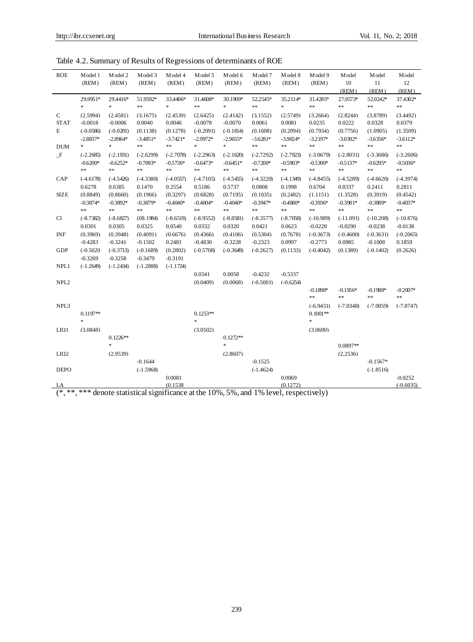|  | Table 4.2. Summary of Results of Regressions of determinants of ROE |
|--|---------------------------------------------------------------------|

| <b>ROE</b>        | Model 1<br>(REM)          | Model 2<br>(REM) | Model 3<br>(REM) | Model 4<br>(REM)                              | Model 5<br>(REM)     | Model 6<br>(REM)         | Model 7<br>(REM)                                                                           | Model 8<br>(REM)         | Model 9<br>(REM)         | Model<br>$10\,$          | Model<br>11                                                   | M odel<br>12          |
|-------------------|---------------------------|------------------|------------------|-----------------------------------------------|----------------------|--------------------------|--------------------------------------------------------------------------------------------|--------------------------|--------------------------|--------------------------|---------------------------------------------------------------|-----------------------|
|                   |                           |                  |                  |                                               |                      |                          |                                                                                            |                          |                          | (REM)                    | (REM)                                                         | (REM)                 |
|                   | 29.9951*<br>$\frac{1}{2}$ | 29.4416*<br>×    | 51.9592*<br>**   | 33.4406*<br>$\frac{d\mathbf{x}}{d\mathbf{x}}$ | 31.4608*<br>$\ast$   | 30.1909*<br>$\ast$       | 52.2545*<br>**                                                                             | 35.2114*<br>$\ast$       | 31.4285*<br>$\ast\ast$   | 27.9573*<br>$\ast$       | 52.0242*<br>$\ast\ast$                                        | 37.4302*<br>$\ast$    |
| $\mathbf C$       | (2.5994)                  | (2.4581)         | (3.1675)         | (2.4539)                                      | (2.6425)             | (2.4142)                 | (3.1552)                                                                                   | (2.5749)                 | (3.2664)                 | (2.8244)                 | (3.8789)                                                      | (3.4492)              |
| <b>STAT</b>       | $-0.0018$                 | $-0.0006$        | 0.0040           | 0.0046                                        | $-0.0078$            | $-0.0070$                | 0.0061                                                                                     | 0.0081                   | 0.0235                   | 0.0222                   | 0.0328                                                        | 0.0379                |
| Е                 | $(-0.0586)$               | $(-0.0201)$      | (0.1138)         | (0.1278)                                      | $(-0.2091)$          | $(-0.1814)$              | (0.1608)                                                                                   | (0.2094)                 | (0.7934)                 | (0.7756)                 | (1.0905)                                                      | (1.3509)              |
|                   | $-2.8837*$                | $-2.8964*$       | $-3.4851*$       | $-3.7421*$                                    | $-2.9972*$           | $-2.9655*$               | $-3.6281*$                                                                                 | $-3.9024*$               | $-3.2197*$               | $-3.0392*$               | $-3.6356*$                                                    | $-3.6112*$            |
| <b>DUM</b>        | $\ast$                    | ×.               | **               | $\ast$                                        | $\frac{1}{2}$        | $\frac{1}{2}$            | $\ast$                                                                                     | $\ast$                   | $\ast\ast$               | $\ast$                   | $\ast$                                                        | $\ast\ast$            |
| $\_F$             | $(-2.2685)$               | $(-2.1931)$      | $(-2.6299)$      | $(-2.7078)$                                   | $(-2.2963)$          | $(-2.1620)$              | $(-2.7292)$                                                                                | $(-2.7923)$              | $(-3.0679)$              | $(-2.8031)$              | $(-3.3686)$                                                   | $(-3.2606)$           |
|                   | $-0.6200*$                | $-0.6252*$       | $-0.7093*$       | $-0.5736*$                                    | $-0.6473*$           | $-0.6451*$               | $-0.7200*$                                                                                 | $-0.5903*$               | $-0.5390*$               | $-0.5137*$               | $-0.6295*$                                                    | $-0.5036*$            |
|                   | **                        | **               | **               | $\pm$                                         | $\ast$               | $\frac{1}{2}$ :          | $\ast\ast$                                                                                 | **                       | $\frac{1}{2}$            | $\ast$                   | $\frac{1}{2}$ :                                               | $\ast$                |
| CAP               | $(-4.6178)$               | $(-4.5426)$      | $(-4.3380)$      | $(-4.0557)$                                   | $(-4.7105)$          | $(-4.5455)$              | $(-4.3220)$                                                                                | $(-4.1349)$              | $(-4.8455)$              | $(-4.5289)$              | $(-4.6620)$                                                   | $(-4.3974)$           |
|                   | 0.6278                    | 0.6385           | 0.1470           | 0.2554                                        | 0.5186               | 0.5737                   | 0.0808                                                                                     | 0.1998                   | 0.6704                   | 0.8337                   | 0.2411                                                        | 0.2811                |
| <b>SIZE</b>       | (0.8849)                  | (0.8660)         | (0.1966)         | (0.3297)                                      | (0.6828)             | (0.7195)                 | (0.1035)                                                                                   | (0.2482)                 | (1.1151)                 | (1.3528)                 | (0.3919)                                                      | (0.4542)              |
|                   | $-0.3874*$<br>**          | $-0.3892*$<br>** | $-0.3879*$<br>** | $-0.4040*$<br>**                              | $-0.4004*$<br>$\ast$ | $-0.4040*$<br>$\ast\ast$ | $-0.3947*$<br>**                                                                           | $-0.4080*$<br>$\ast\ast$ | $-0.3936*$<br>$\ast\ast$ | $-0.3981*$<br>$\ast\ast$ | $-0.3889*$<br>$\frac{1}{2} \mathbb{C} \frac{1}{2} \mathbb{C}$ | $-0.4037*$<br>$\gg 1$ |
| CI                | $(-8.7382)$               | $(-8.6827)$      | (08.1984)        | $(-8.6519)$                                   | $(-8.9552)$          | $(-8.8581)$              | $(-8.3577)$                                                                                | $(-8.7058)$              | $(-10.989)$              | $(-11.091)$              | $(-10.208)$                                                   | $(-10.876)$           |
|                   | 0.0301                    | 0.0305           | 0.0325           | 0.0540                                        | 0.0332               | 0.0320                   | 0.0421                                                                                     | 0.0623                   | $-0.0228$                | $-0.0290$                | $-0.0238$                                                     | $-0.0138$             |
| INF               | (0.3969)                  | (0.3948)         | (0.4091)         | (0.6676)                                      | (0.4366)             | (0.4106)                 | (0.5304)                                                                                   | (0.7678)                 | $(-0.3673)$              | $(-0.4600)$              | $(-0.3631)$                                                   | $(-0.2065)$           |
|                   | $-0.4283$                 | $-0.3241$        | $-0.1502$        | 0.2481                                        | $-0.4830$            | $-0.3228$                | $-0.2323$                                                                                  | 0.0997                   | $-0.2773$                | 0.0985                   | $-0.1008$                                                     | 0.1859                |
| <b>GDP</b>        | $(-0.5020)$               | $(-0.3713)$      | $(-0.1689)$      | (0.2802)                                      | $(-0.5708)$          | $(-0.3649)$              | $(-0.2627)$                                                                                | (0.1133)                 | $(-0.4042)$              | (0.1389)                 | $(-0.1402)$                                                   | (0.2626)              |
|                   | $-0.3269$                 | $-0.3258$        | $-0.3479$        | $-0.3191$                                     |                      |                          |                                                                                            |                          |                          |                          |                                                               |                       |
| NPL1              | $(-1.2649)$               | $(-1.2434)$      | $(-1.2888)$      | $(-1.1724)$                                   |                      |                          |                                                                                            |                          |                          |                          |                                                               |                       |
|                   |                           |                  |                  |                                               | 0.0341               | 0.0058                   | $-0.4232$                                                                                  | $-0.5337$                |                          |                          |                                                               |                       |
| NPL <sub>2</sub>  |                           |                  |                  |                                               | (0.0409)             | (0.0068)                 | $(-0.5001)$                                                                                | $(-0.6254)$              |                          |                          |                                                               |                       |
|                   |                           |                  |                  |                                               |                      |                          |                                                                                            |                          | $-0.1898*$               | $-0.1956*$               | $-0.1988*$                                                    | $-0.2007*$            |
|                   |                           |                  |                  |                                               |                      |                          |                                                                                            |                          | $\pm 1$                  | $\ast$                   | $\frac{1}{2}$                                                 | $\pm\pm$              |
| NPL3              |                           |                  |                  |                                               |                      |                          |                                                                                            |                          | $(-6.9431)$              | $(-7.0348)$              | $(-7.0059)$                                                   | $(-7.0747)$           |
|                   | $0.1197**$                |                  |                  |                                               | $0.1253**$           |                          |                                                                                            |                          | $0.1001**$               |                          |                                                               |                       |
|                   | sk.                       |                  |                  |                                               | $\frac{1}{2}$        |                          |                                                                                            |                          | s):                      |                          |                                                               |                       |
| LIO1              | (3.0848)                  |                  |                  |                                               | (3.0502)             |                          |                                                                                            |                          | (3.0690)                 |                          |                                                               |                       |
|                   |                           | $0.1226**$       |                  |                                               |                      | $0.1272**$               |                                                                                            |                          |                          |                          |                                                               |                       |
|                   |                           | s.               |                  |                                               |                      | $\frac{1}{2}$            |                                                                                            |                          |                          | $0.0897**$               |                                                               |                       |
| LI <sub>O</sub> 2 |                           | (2.9539)         |                  |                                               |                      | (2.8607)                 |                                                                                            |                          |                          | (2.2536)                 |                                                               |                       |
|                   |                           |                  | $-0.1644$        |                                               |                      |                          | $-0.1525$                                                                                  |                          |                          |                          | $-0.1567*$                                                    |                       |
| <b>DEPO</b>       |                           |                  | $(-1.5968)$      |                                               |                      |                          | $(-1.4624)$                                                                                |                          |                          |                          | $(-1.8516)$                                                   |                       |
|                   |                           |                  |                  | 0.0081                                        |                      |                          |                                                                                            | 0.0069                   |                          |                          |                                                               | $-0.0252$             |
| LA                |                           |                  |                  | (0.1538)                                      |                      |                          | $(*, **, **$ * denote statistical significance at the 10%, 5%, and 1% level, respectively) | (0.1272)                 |                          |                          |                                                               | $(-0.6035)$           |

239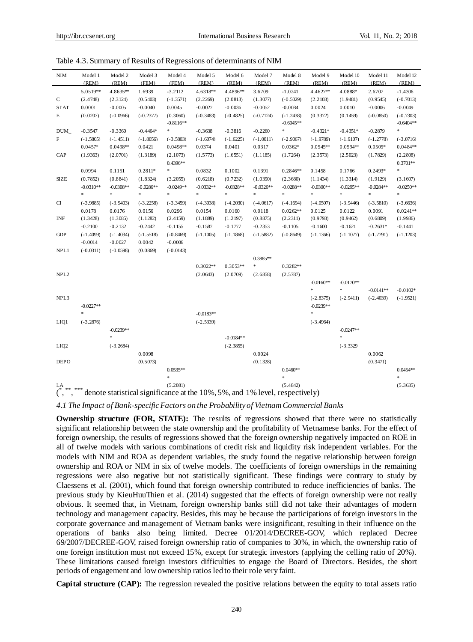| <b>NIM</b>       | Model 1     | Model 2     | Model 3     | Model 4     | Model 5     | Model 6     | Model 7     | Model 8     | Model 9     | Model 10    | Model 11    | Model 12    |
|------------------|-------------|-------------|-------------|-------------|-------------|-------------|-------------|-------------|-------------|-------------|-------------|-------------|
|                  | (REM)       | (REM)       | (FEM)       | (FEM)       | (REM)       | (REM)       | (REM)       | (REM)       | (REM)       | (REM)       | (REM)       | (REM)       |
|                  | 5.0519**    | 4.8635**    | 1.6939      | $-3.2112$   | 4.6318**    | 4.4896**    | 3.6709      | $-1.0241$   | 4.4627**    | 4.0888*     | 2.6707      | $-1.4306$   |
| $\mathbf C$      | (2.4748)    | (2.3124)    | (0.5403)    | $(-1.3571)$ | (2.2269)    | (2.0813)    | (1.3077)    | $(-0.5029)$ | (2.2103)    | (1.9481)    | (0.9545)    | $(-0.7013)$ |
| <b>STAT</b>      | 0.0001      | $-0.0005$   | $-0.0040$   | 0.0045      | $-0.0027$   | $-0.0036$   | $-0.0052$   | $-0.0084$   | 0.0024      | 0.0010      | $-0.0006$   | $-0.0049$   |
| E                | (0.0207)    | $(-0.0966)$ | $(-0.2377)$ | (0.3060)    | $(-0.3483)$ | $(-0.4825)$ | $(-0.7124)$ | $(-1.2438)$ | (0.3372)    | (0.1459)    | $(-0.0850)$ | $(-0.7303)$ |
|                  |             |             |             | $-0.8116**$ |             |             |             | $-0.6045**$ |             |             |             | $-0.6404**$ |
| $DUM_{-}$        | $-0.3547$   | $-0.3360$   | $-0.4464*$  | *           | $-0.3638$   | $-0.3816$   | $-0.2260$   | *           | $-0.4321*$  | $-0.4351*$  | $-0.2879$   | $\ast$      |
| F                | $(-1.5805)$ | $(-1.4511)$ | $(-1.8056)$ | $(-3.5803)$ | $(-1.6074)$ | $(-1.6225)$ | $(-1.0011)$ | $(-2.9067)$ | $(-1.9789)$ | $(-1.9107)$ | $(-1.2778)$ | $(-3.0716)$ |
|                  | $0.0457*$   | $0.0498**$  | 0.0421      | 0.0498**    | 0.0374      | 0.0401      | 0.0317      | $0.0362*$   | $0.0545**$  | $0.0594**$  | $0.0505*$   | $0.0484**$  |
| CAP              | (1.9363)    | (2.0701)    | (1.3189)    | (2.1073)    | (1.5773)    | (1.6551)    | (1.1185)    | (1.7264)    | (2.3573)    | (2.5023)    | (1.7829)    | (2.2808)    |
|                  |             |             |             | $0.4396**$  |             |             |             |             |             |             |             | $0.3701**$  |
|                  | 0.0994      | 0.1151      | 0.2811*     | *           | 0.0832      | 0.1002      | 0.1391      | $0.2846**$  | 0.1458      | 0.1766      | 0.2493*     | *           |
| <b>SIZE</b>      | (0.7852)    | (0.8841)    | (1.8324)    | (3.2055)    | (0.6218)    | (0.7232)    | (1.0390)    | (2.3680)    | (1.1434)    | (1.3314)    | (1.9129)    | (3.1607)    |
|                  | $-0.0310**$ | $-0.0308**$ | $-0.0286**$ | $-0.0249**$ | $-0.0332**$ | $-0.0328**$ | $-0.0326**$ | $-0.0288**$ | $-0.0300**$ | $-0.0295**$ | $-0.0284**$ | $-0.0250**$ |
|                  | $\ast$      | $\ast$      | $\ast$      | $\approx$   | $\ast$      | $\ast$      | $\ast$      | $\ast$      | $\ast$      | $\ast$      | $\ast$      | $\ast$      |
| $_{\rm CI}$      | $(-3.9885)$ | $(-3.9403)$ | $(-3.2258)$ | $(-3.3459)$ | $(-4.3038)$ | $(-4.2030)$ | $(-4.0617)$ | $(-4.1694)$ | $(-4.0507)$ | $(-3.9446)$ | $(-3.5810)$ | $(-3.6636)$ |
|                  | 0.0178      | 0.0176      | 0.0156      | 0.0296      | 0.0154      | 0.0160      | 0.0118      | $0.0262**$  | 0.0125      | 0.0122      | 0.0091      | $0.0241**$  |
| INF              | (1.3428)    | (1.3085)    | (1.1282)    | (2.4159)    | (1.1889)    | (1.2197)    | (0.8875)    | (2.2311)    | (0.9793)    | (0.9462)    | (0.6809)    | (1.9986)    |
|                  | $-0.2100$   | $-0.2132$   | $-0.2442$   | $-0.1155$   | $-0.1587$   | $-0.1777$   | $-0.2353$   | $-0.1105$   | $-0.1600$   | $-0.1621$   | $-0.2631*$  | $-0.1441$   |
| <b>GDP</b>       | $(-1.4099)$ | $(-1.4034)$ | $(-1.5518)$ | $(-0.8469)$ | $(-1.1005)$ | $(-1.1868)$ | $(-1.5882)$ | $(-0.8649)$ | $(-1.1366)$ | $(-1.1077)$ | $(-1.7791)$ | $(-1.1203)$ |
|                  | $-0.0014$   | $-0.0027$   | 0.0042      | $-0.0006$   |             |             |             |             |             |             |             |             |
| NPL1             | $(-0.0311)$ | $(-0.0598)$ | (0.0869)    | $(-0.0143)$ |             |             |             |             |             |             |             |             |
|                  |             |             |             |             |             |             | 0.3885**    |             |             |             |             |             |
|                  |             |             |             |             | $0.3022**$  | $0.3053**$  | *           | $0.3282**$  |             |             |             |             |
| NPL <sub>2</sub> |             |             |             |             | (2.0643)    | (2.0709)    | (2.6858)    | (2.5787)    |             |             |             |             |
|                  |             |             |             |             |             |             |             |             | $-0.0160**$ | $-0.0170**$ |             |             |
|                  |             |             |             |             |             |             |             |             | $\ast$      | $\approx$   | $-0.0141**$ | $-0.0102*$  |
| NPL3             |             |             |             |             |             |             |             |             | $(-2.8375)$ | $(-2.9411)$ | $(-2.4039)$ | $(-1.9521)$ |
|                  | $-0.0227**$ |             |             |             |             |             |             |             | $-0.0239**$ |             |             |             |
|                  | *           |             |             |             | $-0.0183**$ |             |             |             |             |             |             |             |
| LI <sub>01</sub> | $(-3.2876)$ |             |             |             | $(-2.5339)$ |             |             |             | $(-3.4964)$ |             |             |             |
|                  |             | $-0.0239**$ |             |             |             |             |             |             |             | $-0.0247**$ |             |             |
|                  |             | $\ast$      |             |             |             | $-0.0184**$ |             |             |             | $\ast$      |             |             |
| LIQ <sub>2</sub> |             | $(-3.2684)$ |             |             |             | $(-2.3855)$ |             |             |             | $(-3.3329)$ |             |             |
|                  |             |             | 0.0098      |             |             |             | 0.0024      |             |             |             | 0.0062      |             |
| <b>DEPO</b>      |             |             | (0.5073)    |             |             |             | (0.1328)    |             |             |             | (0.3471)    |             |
|                  |             |             |             | $0.0535**$  |             |             |             | $0.0460**$  |             |             |             | $0.0454**$  |
|                  |             |             |             | $\ast$      |             |             |             | $\ast$      |             |             |             | $\ast$      |
| LA               |             |             |             | (5.2081)    |             |             |             | (5.4842)    |             |             |             | (5.3635)    |

Table 4.3. Summary of Results of Regressions of determinants of NIM

( \* , \*\* , denote statistical significance at the  $10\%, 5\%,$  and 1% level, respectively)

*4.1 The Impact of Bank-specificFactors on the Probability of Vietnam Commercial Banks*

**Ownership structure (FOR, STATE):** The results of regressions showed that there were no statistically significant relationship between the state ownership and the profitability of Vietnamese banks. For the effect of foreign ownership, the results of regressions showed that the foreign ownership negatively impacted on ROE in all of twelve models with various combinations of credit risk and liquidity risk independent variables. For the models with NIM and ROA as dependent variables, the study found the negative relationship between foreign ownership and ROA or NIM in six of twelve models. The coefficients of foreign ownerships in the remaining regressions were also negative but not statistically significant. These findings were contrary to study by Claessens et al. (2001), which found that foreign ownership contributed to reduce inefficiencies of banks. The previous study by KieuHuuThien et al. (2014) suggested that the effects of foreign ownership were not really obvious. It seemed that, in Vietnam, foreign ownership banks still did not take their advantages of modern technology and management capacity. Besides, this may be because the participations of foreign investors in the corporate governance and management of Vietnam banks were insignificant, resulting in their influence on the operations of banks also being limited. Decree 01/2014/DECREE-GOV, which replaced Decree 69/2007/DECREE-GOV, raised foreign ownership ratio of companies to 30%, in which, the ownership ratio of one foreign institution must not exceed 15%, except for strategic investors (applying the celling ratio of 20%). These limitations caused foreign investors difficulties to engage the Board of Directors. Besides, the short periods of engagement and low ownership ratios led to their role very faint.

**Capital structure (CAP):** The regression revealed the positive relations between the equity to total assets ratio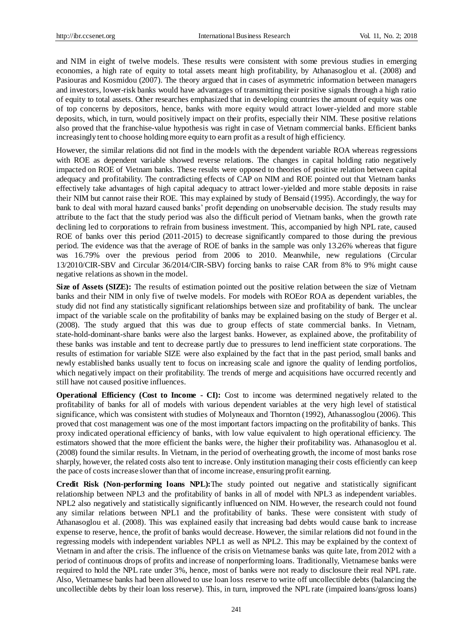and NIM in eight of twelve models. These results were consistent with some previous studies in emerging economies, a high rate of equity to total assets meant high profitability, by Athanasoglou et al. (2008) and Pasiouras and Kosmidou (2007). The theory argued that in cases of asymmetric information between managers and investors, lower-risk banks would have advantages of transmitting their positive signals through a high ratio of equity to total assets. Other researches emphasized that in developing countries the amount of equity was one of top concerns by depositors, hence, banks with more equity would attract lower-yielded and more stable deposits, which, in turn, would positively impact on their profits, especially their NIM. These positive relations also proved that the franchise-value hypothesis was right in case of Vietnam commercial banks. Efficient banks increasingly tent to choose holding more equity to earn profit as a result of high efficiency.

However, the similar relations did not find in the models with the dependent variable ROA whereas regressions with ROE as dependent variable showed reverse relations. The changes in capital holding ratio negatively impacted on ROE of Vietnam banks. These results were opposed to theories of positive relation between capital adequacy and profitability. The contradicting effects of CAP on NIM and ROE pointed out that Vietnam banks effectively take advantages of high capital adequacy to attract lower-yielded and more stable deposits in raise their NIM but cannot raise their ROE. This may explained by study of Bensaid (1995). Accordingly, the way for bank to deal with moral hazard caused banks' profit depending on unobservable decision. The study results may attribute to the fact that the study period was also the difficult period of Vietnam banks, when the growth rate declining led to corporations to refrain from business investment. This, accompanied by high NPL rate, caused ROE of banks over this period (2011-2015) to decrease significantly compared to those during the previous period. The evidence was that the average of ROE of banks in the sample was only 13.26% whereas that figure was 16.79% over the previous period from 2006 to 2010. Meanwhile, new regulations (Circular 13/2010/CIR-SBV and Circular 36/2014/CIR-SBV) forcing banks to raise CAR from 8% to 9% might cause negative relations as shown in the model.

**Size of Assets (SIZE):** The results of estimation pointed out the positive relation between the size of Vietnam banks and their NIM in only five of twelve models. For models with ROEor ROA as dependent variables, the study did not find any statistically significant relationships between size and profitability of bank. The unclear impact of the variable scale on the profitability of banks may be explained basing on the study of Berger et al. (2008). The study argued that this was due to group effects of state commercial banks. In Vietnam, state-hold-dominant-share banks were also the largest banks. However, as explained above, the profitability of these banks was instable and tent to decrease partly due to pressures to lend inefficient state corporations. The results of estimation for variable SIZE were also explained by the fact that in the past period, small banks and newly established banks usually tent to focus on increasing scale and ignore the quality of lending portfolios, which negatively impact on their profitability. The trends of merge and acquisitions have occurred recently and still have not caused positive influences.

**Operational Efficiency (Cost to Income - CI):** Cost to income was determined negatively related to the profitability of banks for all of models with various dependent variables at the very high level of statistical significance, which was consistent with studies of Molyneaux and Thornton (1992), Athanassoglou (2006). This proved that cost management was one of the most important factors impacting on the profitability of banks. This proxy indicated operational efficiency of banks, with low value equivalent to high operational efficiency. The estimators showed that the more efficient the banks were, the higher their profitability was. Athanasoglou et al. (2008) found the similar results. In Vietnam, in the period of overheating growth, the income of most banks rose sharply, however, the related costs also tent to increase. Only institution managing their costs efficiently can keep the pace of costs increase slower than that of income increase, ensuring profit earning.

**Credit Risk (Non-performing loans NPL):**The study pointed out negative and statistically significant relationship between NPL3 and the profitability of banks in all of model with NPL3 as independent variables. NPL2 also negatively and statistically significantly influenced on NIM. However, the research could not found any similar relations between NPL1 and the profitability of banks. These were consistent with study of Athanasoglou et al. (2008). This was explained easily that increasing bad debts would cause bank to increase expense to reserve, hence, the profit of banks would decrease. However, the similar relations did not found in the regressing models with independent variables NPL1 as well as NPL2. This may be explained by the context of Vietnam in and after the crisis. The influence of the crisis on Vietnamese banks was quite late, from 2012 with a period of continuous drops of profits and increase of nonperforming loans. Traditionally, Vietnamese banks were required to hold the NPL rate under 3%, hence, most of banks were not ready to disclosure their real NPL rate. Also, Vietnamese banks had been allowed to use loan loss reserve to write off uncollectible debts (balancing the uncollectible debts by their loan loss reserve). This, in turn, improved the NPL rate (impaired loans/gross loans)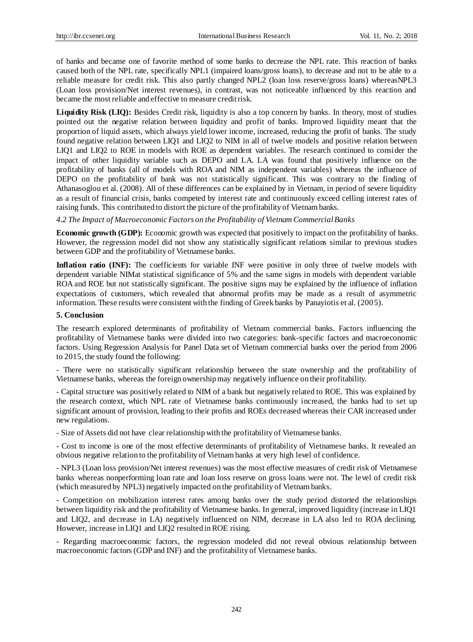of banks and became one of favorite method of some banks to decrease the NPL rate. This reaction of banks caused both of the NPL rate, specifically NPL1 (impaired loans/gross loans), to decrease and not to be able to a reliable measure for credit risk. This also partly changed NPL2 (loan loss reserve/gross loans) whereasNPL3 (Loan loss provision/Net interest revenues), in contrast, was not noticeable influenced by this reaction and became the most reliable and effective to measure credit risk.

**Liquidity Risk (LIQ):** Besides Credit risk, liquidity is also a top concern by banks. In theory, most of studies pointed out the negative relation between liquidity and profit of banks. Improved liquidity meant that the proportion of liquid assets, which always yield lower income, increased, reducing the profit of banks. The study found negative relation between LIQ1 and LIQ2 to NIM in all of twelve models and positive relation between LIQ1 and LIQ2 to ROE in models with ROE as dependent variables. The research continued to consider the impact of other liquidity variable such as DEPO and LA. LA was found that positively influence on the profitability of banks (all of models with ROA and NIM as independent variables) whereas the influence of DEPO on the profitability of bank was not statistically significant. This was contrary to the finding of Athanasoglou et al. (2008). All of these differences can be explained by in Vietnam, in period of severe liquidity as a result of financial crisis, banks competed by interest rate and continuously exceed celling interest rates of raising funds. This contributed to distort the picture of the profitability of Vietnam banks.

*4.2 The Impact of Macroeconomic Factors on the Profitability of Vietnam Commercial Banks*

**Economic growth (GDP):** Economic growth was expected that positively to impact on the profitability of banks. However, the regression model did not show any statistically significant relations similar to previous studies between GDP and the profitability of Vietnamese banks.

**Inflation ratio (INF):** The coefficients for variable INF were positive in only three of twelve models with dependent variable NIMat statistical significance of 5% and the same signs in models with dependent variable ROA and ROE but not statistically significant. The positive signs may be explained by the influence of inflation expectations of customers, which revealed that abnormal profits may be made as a result of asymmetric information. These results were consistent with the finding of Greek banks by Panayiotis et al. (2005).

## **5. Conclusion**

The research explored determinants of profitability of Vietnam commercial banks. Factors influencing the profitability of Vietnamese banks were divided into two categories: bank-specific factors and macroeconomic factors. Using Regression Analysis for Panel Data set of Vietnam commercial banks over the period from 2006 to 2015, the study found the following:

- There were no statistically significant relationship between the state ownership and the profitability of Vietnamese banks, whereas the foreign ownership may negatively influence on their profitability.

- Capital structure was positively related to NIM of a bank but negatively related to ROE. This was explained by the research context, which NPL rate of Vietnamese banks continuously increased, the banks had to set up significant amount of provision, leading to their profits and ROEs decreased whereas their CAR increased under new regulations.

- Size of Assets did not have clear relationship with the profitability of Vietnamese banks.

- Cost to income is one of the most effective determinants of profitability of Vietnamese banks. It revealed an obvious negative relation to the profitability of Vietnam banks at very high level of confidence.

- NPL3 (Loan loss provision/Net interest revenues) was the most effective measures of credit risk of Vietnamese banks whereas nonperforming loan rate and loan loss reserve on gross loans were not. The level of credit risk (which measured by NPL3) negatively impacted on the profitability of Vietnam banks.

- Competition on mobilization interest rates among banks over the study period distorted the relationships between liquidity risk and the profitability of Vietnamese banks. In general, improved liquidity (increase in LIQ1 and LIQ2, and decrease in LA) negatively influenced on NIM, decrease in LA also led to ROA declining. However, increase in LIQ1 and LIQ2 resulted in ROE rising.

- Regarding macroeconomic factors, the regression modeled did not reveal obvious relationship between macroeconomic factors (GDP and INF) and the profitability of Vietnamese banks.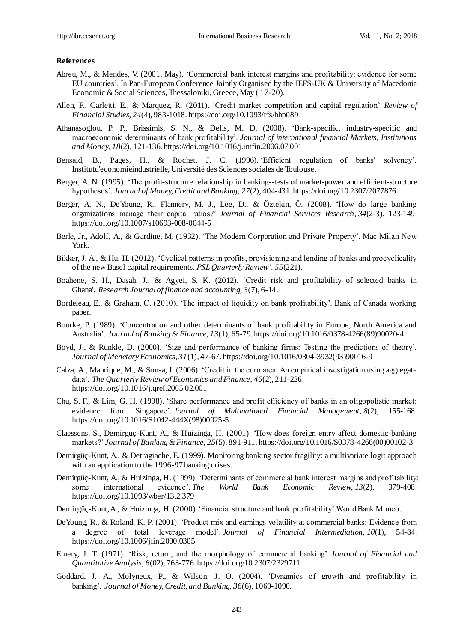### **References**

- Abreu, M., & Mendes, V. (2001, May). 'Commercial bank interest margins and profitability: evidence for some EU countries'. In Pan-European Conference Jointly Organised by the IEFS-UK & University of Macedonia Economic & Social Sciences, Thessaloniki, Greece, May ( 17-20).
- Allen, F., Carletti, E., & Marquez, R. (2011). 'Credit market competition and capital regulation'. *Review of Financial Studies, 24*(4), 983-1018. https://doi.org/10.1093/rfs/hhp089
- Athanasoglou, P. P., Brissimis, S. N., & Delis, M. D. (2008). 'Bank-specific, industry-specific and macroeconomic determinants of bank profitability'. *Journal of international financial Markets, Institutions and Money, 18*(2), 121-136. https://doi.org/10.1016/j.intfin.2006.07.001
- Bensaid, B., Pages, H., & Rochet, J. C. (1996). 'Efficient regulation of banks' solvency'. Institutd'economieindustrielle, Université des Sciences sociales de Toulouse.
- Berger, A. N. (1995). 'The profit-structure relationship in banking--tests of market-power and efficient-structure hypotheses'. *Journal of Money, Credit and Banking, 27*(2), 404-431. https://doi.org/10.2307/2077876
- Berger, A. N., DeYoung, R., Flannery, M. J., Lee, D., & Öztekin, Ö. (2008). 'How do large banking organizations manage their capital ratios?' *Journal of Financial Services Research, 34*(2-3), 123-149. https://doi.org/10.1007/s10693-008-0044-5
- Berle, Jr., Adolf, A., & Gardine, M. (1932). 'The Modern Corporation and Private Property'. Mac Milan New York.
- Bikker, J. A., & Hu, H. (2012). 'Cyclical patterns in profits, provisioning and lending of banks and procyclicality of the new Basel capital requirements. *PSL Quarterly Review', 55*(221).
- Boahene, S. H., Dasah, J., & Agyei, S. K. (2012). 'Credit risk and profitability of selected banks in Ghana'. *Research Journal of finance and accounting, 3*(7), 6-14.
- Bordeleau, E., & Graham, C. (2010). 'The impact of liquidity on bank profitability'. Bank of Canada working paper.
- Bourke, P. (1989). 'Concentration and other determinants of bank profitability in Europe, North America and Australia'. *Journal of Banking & Finance, 13*(1), 65-79. https://doi.org/10.1016/0378-4266(89)90020-4
- Boyd, J., & Runkle, D. (2000). 'Size and performance of banking firms: Testing the predictions of theory'. *Journal of Menetary Economics, 31*(1), 47-67. https://doi.org/10.1016/0304-3932(93)90016-9
- Calza, A., Manrique, M., & Sousa, J. (2006). 'Credit in the euro area: An empirical investigation using aggregate data'. *The Quarterly Review of Economics and Finance, 46*(2), 211-226. https://doi.org/10.1016/j.qref.2005.02.001
- Chu, S. F., & Lim, G. H. (1998). 'Share performance and profit efficiency of banks in an oligopolistic market: evidence from Singapore'. *Journal of Multinational Financial Management, 8*(2), 155-168. https://doi.org/10.1016/S1042-444X(98)00025-5
- Claessens, S., Demirgüç-Kunt, A., & Huizinga, H. (2001). 'How does foreign entry affect domestic banking markets?' *Journal of Banking & Finance, 25*(5), 891-911. https://doi.org/10.1016/S0378-4266(00)00102-3
- Demirgüç-Kunt, A., & Detragiache, E. (1999). Monitoring banking sector fragility: a multivariate logit approach with an application to the 1996-97 banking crises.
- Demirgüç-Kunt, A., & Huizinga, H. (1999). 'Determinants of commercial bank interest margins and profitability: some international evidence'. *The World Bank Economic Review, 13*(2), 379-408. https://doi.org/10.1093/wber/13.2.379
- Demirgüç-Kunt, A., & Huizinga, H. (2000). 'Financial structure and bank profitability'.World Bank Mimeo.
- DeYoung, R., & Roland, K. P. (2001). 'Product mix and earnings volatility at commercial banks: Evidence from a degree of total leverage model'. *Journal of Financial Intermediation, 10*(1), 54-84. https://doi.org/10.1006/jfin.2000.0305
- Emery, J. T. (1971). 'Risk, return, and the morphology of commercial banking'. *Journal of Financial and Quantitative Analysis, 6*(02), 763-776. https://doi.org/10.2307/2329711
- Goddard, J. A., Molyneux, P., & Wilson, J. O. (2004). 'Dynamics of growth and profitability in banking'. *Journal of Money, Credit, and Banking, 36*(6), 1069-1090.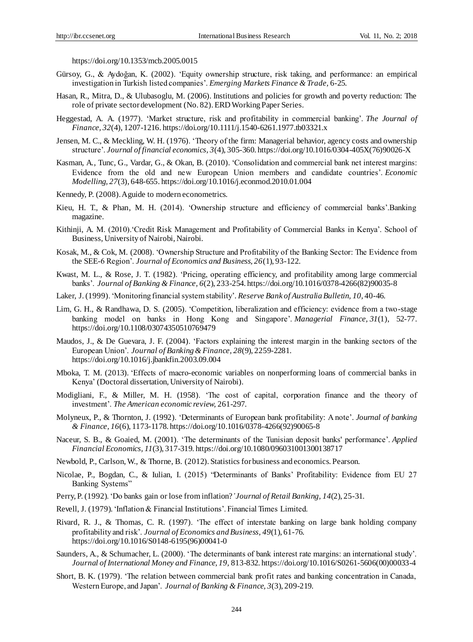https://doi.org/10.1353/mcb.2005.0015

- Gürsoy, G., & Aydoğan, K. (2002). 'Equity ownership structure, risk taking, and performance: an empirical investigation in Turkish listed companies'. *Emerging Markets Finance & Trade,* 6-25.
- Hasan, R., Mitra, D., & Ulubasoglu, M. (2006). Institutions and policies for growth and poverty reduction: The role of private sector development (No. 82). ERD Working Paper Series.
- Heggestad, A. A. (1977). 'Market structure, risk and profitability in commercial banking'. *The Journal of Finance, 32*(4), 1207-1216. https://doi.org/10.1111/j.1540-6261.1977.tb03321.x
- Jensen, M. C., & Meckling, W. H. (1976). 'Theory of the firm: Managerial behavior, agency costs and ownership structure'. *Journal of financial economics, 3*(4), 305-360. https://doi.org/10.1016/0304-405X(76)90026-X
- Kasman, A., Tunc, G., Vardar, G., & Okan, B. (2010). 'Consolidation and commercial bank net interest margins: Evidence from the old and new European Union members and candidate countries'. *Economic Modelling, 27*(3), 648-655. https://doi.org/10.1016/j.econmod.2010.01.004
- Kennedy, P. (2008). A guide to modern econometrics.
- Kieu, H. T., & Phan, M. H. (2014). 'Ownership structure and efficiency of commercial banks'.Banking magazine.
- Kithinji, A. M. (2010).'Credit Risk Management and Profitability of Commercial Banks in Kenya'. School of Business, University of Nairobi, Nairobi.
- Kosak, M., & Cok, M. (2008). 'Ownership Structure and Profitability of the Banking Sector: The Evidence from the SEE-6 Region'. *Journal of Economics and Business, 26*(1), 93-122.
- Kwast, M. L., & Rose, J. T. (1982). 'Pricing, operating efficiency, and profitability among large commercial banks'. *Journal of Banking & Finance, 6*(2), 233-254. https://doi.org/10.1016/0378-4266(82)90035-8
- Laker, J. (1999). 'Monitoring financial system stability'*. Reserve Bank of Australia Bulletin, 10,* 40-46.
- Lim, G. H., & Randhawa, D. S. (2005). 'Competition, liberalization and efficiency: evidence from a two-stage banking model on banks in Hong Kong and Singapore'. *Managerial Finance, 31*(1), 52-77. https://doi.org/10.1108/03074350510769479
- Maudos, J., & De Guevara, J. F. (2004). 'Factors explaining the interest margin in the banking sectors of the European Union'. *Journal of Banking & Finance, 28*(9), 2259-2281. https://doi.org/10.1016/j.jbankfin.2003.09.004
- Mboka, T. M. (2013). 'Effects of macro-economic variables on nonperforming loans of commercial banks in Kenya' (Doctoral dissertation, University of Nairobi).
- Modigliani, F., & Miller, M. H. (1958). 'The cost of capital, corporation finance and the theory of investment'. *The American economic review,* 261-297.
- Molyneux, P., & Thornton, J. (1992). 'Determinants of European bank profitability: A note'*. Journal of banking & Finance, 16*(6), 1173-1178. https://doi.org/10.1016/0378-4266(92)90065-8
- Naceur, S. B., & Goaied, M. (2001). 'The determinants of the Tunisian deposit banks' performance'. *Applied Financial Economics, 11*(3), 317-319. https://doi.org/10.1080/096031001300138717
- Newbold, P., Carlson, W., & Thorne, B. (2012). Statistics for business and economics. Pearson.
- [Nicolae,](https://www.infona.pl/contributor/0@bwmeta1.element.elsevier-293018ae-5c9b-3da7-a538-b18c55a8f1dc/tab/publications) P., [Bogdan,](https://www.infona.pl/contributor/1@bwmeta1.element.elsevier-293018ae-5c9b-3da7-a538-b18c55a8f1dc/tab/publications) C., & [Iulian,](https://www.infona.pl/contributor/2@bwmeta1.element.elsevier-293018ae-5c9b-3da7-a538-b18c55a8f1dc/tab/publications) I. (2015) "Determinants of Banks' Profitability: Evidence from EU 27 Banking Systems"
- Perry, P. (1992). 'Do banks gain or lose from inflation?*'Journal of Retail Banking, 14*(2), 25-31.
- Revell, J. (1979). 'Inflation & Financial Institutions'. Financial Times Limited.
- Rivard, R. J., & Thomas, C. R. (1997). 'The effect of interstate banking on large bank holding company profitability and risk'. *Journal of Economics and Business, 49*(1), 61-76. https://doi.org/10.1016/S0148-6195(96)00041-0
- Saunders, A., & Schumacher, L. (2000). 'The determinants of bank interest rate margins: an international study'. *Journal of International Money and Finance, 19,* 813-832. https://doi.org/10.1016/S0261-5606(00)00033-4
- Short, B. K. (1979). 'The relation between commercial bank profit rates and banking concentration in Canada, Western Europe, and Japan'. *Journal of Banking & Finance, 3*(3), 209-219.